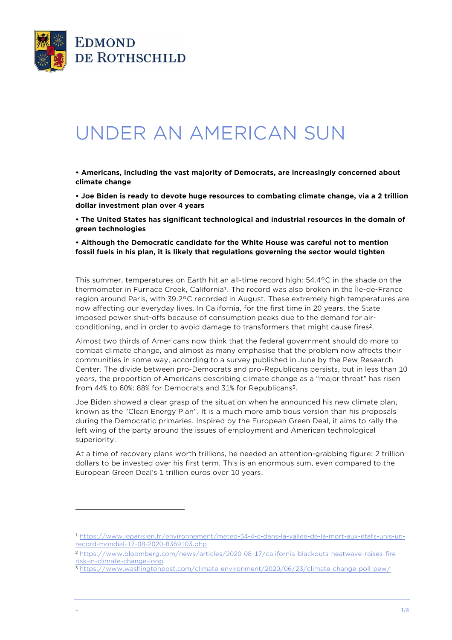

l

## UNDER AN AMERICAN SUN

**• Americans, including the vast majority of Democrats, are increasingly concerned about climate change** 

**• Joe Biden is ready to devote huge resources to combating climate change, via a 2 trillion dollar investment plan over 4 years** 

**• The United States has significant technological and industrial resources in the domain of green technologies** 

**• Although the Democratic candidate for the White House was careful not to mention fossil fuels in his plan, it is likely that regulations governing the sector would tighten** 

This summer, temperatures on Earth hit an all-time record high: 54.4°C in the shade on the thermometer in Furnace Creek, California<sup>1</sup>. The record was also broken in the Île-de-France region around Paris, with 39.2°C recorded in August. These extremely high temperatures are now affecting our everyday lives. In California, for the first time in 20 years, the State imposed power shut-offs because of consumption peaks due to the demand for airconditioning, and in order to avoid damage to transformers that might cause fires<sup>2</sup>.

Almost two thirds of Americans now think that the federal government should do more to combat climate change, and almost as many emphasise that the problem now affects their communities in some way, according to a survey published in June by the Pew Research Center. The divide between pro-Democrats and pro-Republicans persists, but in less than 10 years, the proportion of Americans describing climate change as a "major threat" has risen from 44% to 60%: 88% for Democrats and 31% for Republicans<sup>3</sup>.

Joe Biden showed a clear grasp of the situation when he announced his new climate plan, known as the "Clean Energy Plan". It is a much more ambitious version than his proposals during the Democratic primaries. Inspired by the European Green Deal, it aims to rally the left wing of the party around the issues of employment and American technological superiority.

At a time of recovery plans worth trillions, he needed an attention-grabbing figure: 2 trillion dollars to be invested over his first term. This is an enormous sum, even compared to the European Green Deal's 1 trillion euros over 10 years.

<sup>1</sup> https://www.leparisien.fr/environnement/meteo-54-4-c-dans-la-vallee-de-la-mort-aux-etats-unis-unrecord-mondial-17-08-2020-8369103.php

<sup>2</sup> https://www.bloomberg.com/news/articles/2020-08-17/california-blackouts-heatwave-raises-firerisk-in-climate-change-loop

<sup>3</sup> https://www.washingtonpost.com/climate-environment/2020/06/23/climate-change-poll-pew/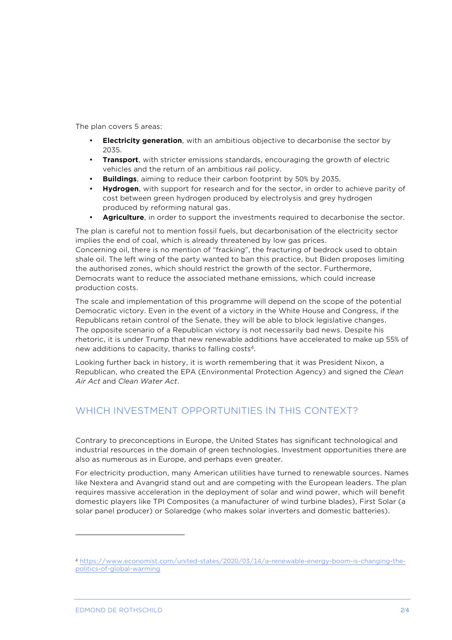The plan covers 5 areas:

- **Electricity generation**, with an ambitious objective to decarbonise the sector by 2035.
- **Transport**, with stricter emissions standards, encouraging the growth of electric vehicles and the return of an ambitious rail policy.
- **Buildings**, aiming to reduce their carbon footprint by 50% by 2035.
- **Hydrogen**, with support for research and for the sector, in order to achieve parity of cost between green hydrogen produced by electrolysis and grey hydrogen produced by reforming natural gas.
- **Agriculture**, in order to support the investments required to decarbonise the sector.

The plan is careful not to mention fossil fuels, but decarbonisation of the electricity sector implies the end of coal, which is already threatened by low gas prices. Concerning oil, there is no mention of "fracking", the fracturing of bedrock used to obtain shale oil. The left wing of the party wanted to ban this practice, but Biden proposes limiting the authorised zones, which should restrict the growth of the sector. Furthermore, Democrats want to reduce the associated methane emissions, which could increase production costs.

The scale and implementation of this programme will depend on the scope of the potential Democratic victory. Even in the event of a victory in the White House and Congress, if the Republicans retain control of the Senate, they will be able to block legislative changes. The opposite scenario of a Republican victory is not necessarily bad news. Despite his rhetoric, it is under Trump that new renewable additions have accelerated to make up 55% of new additions to capacity, thanks to falling costs<sup>4</sup>.

Looking further back in history, it is worth remembering that it was President Nixon, a Republican, who created the EPA (Environmental Protection Agency) and signed the *Clean Air Act* and *Clean Water Act*.

## WHICH INVESTMENT OPPORTUNITIES IN THIS CONTEXT?

Contrary to preconceptions in Europe, the United States has significant technological and industrial resources in the domain of green technologies. Investment opportunities there are also as numerous as in Europe, and perhaps even greater.

For electricity production, many American utilities have turned to renewable sources. Names like Nextera and Avangrid stand out and are competing with the European leaders. The plan requires massive acceleration in the deployment of solar and wind power, which will benefit domestic players like TPI Composites (a manufacturer of wind turbine blades), First Solar (a solar panel producer) or Solaredge (who makes solar inverters and domestic batteries).

l

<sup>4</sup> https://www.economist.com/united-states/2020/03/14/a-renewable-energy-boom-is-changing-thepolitics-of-global-warming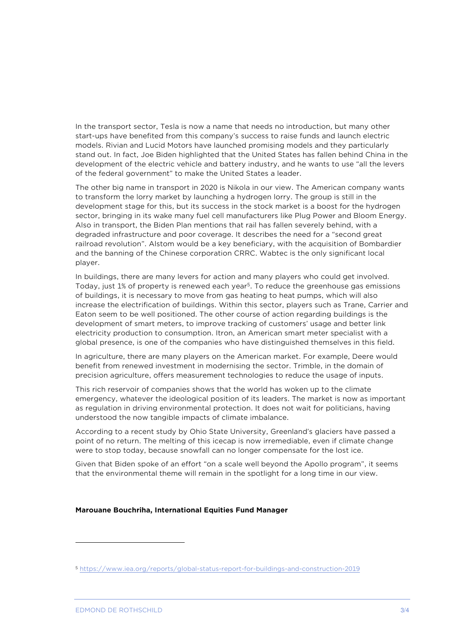In the transport sector, Tesla is now a name that needs no introduction, but many other start-ups have benefited from this company's success to raise funds and launch electric models. Rivian and Lucid Motors have launched promising models and they particularly stand out. In fact, Joe Biden highlighted that the United States has fallen behind China in the development of the electric vehicle and battery industry, and he wants to use "all the levers of the federal government" to make the United States a leader.

The other big name in transport in 2020 is Nikola in our view. The American company wants to transform the lorry market by launching a hydrogen lorry. The group is still in the development stage for this, but its success in the stock market is a boost for the hydrogen sector, bringing in its wake many fuel cell manufacturers like Plug Power and Bloom Energy. Also in transport, the Biden Plan mentions that rail has fallen severely behind, with a degraded infrastructure and poor coverage. It describes the need for a "second great railroad revolution". Alstom would be a key beneficiary, with the acquisition of Bombardier and the banning of the Chinese corporation CRRC. Wabtec is the only significant local player.

In buildings, there are many levers for action and many players who could get involved. Today, just 1% of property is renewed each year<sup>5</sup>. To reduce the greenhouse gas emissions of buildings, it is necessary to move from gas heating to heat pumps, which will also increase the electrification of buildings. Within this sector, players such as Trane, Carrier and Eaton seem to be well positioned. The other course of action regarding buildings is the development of smart meters, to improve tracking of customers' usage and better link electricity production to consumption. Itron, an American smart meter specialist with a global presence, is one of the companies who have distinguished themselves in this field.

In agriculture, there are many players on the American market. For example, Deere would benefit from renewed investment in modernising the sector. Trimble, in the domain of precision agriculture, offers measurement technologies to reduce the usage of inputs.

This rich reservoir of companies shows that the world has woken up to the climate emergency, whatever the ideological position of its leaders. The market is now as important as regulation in driving environmental protection. It does not wait for politicians, having understood the now tangible impacts of climate imbalance.

According to a recent study by Ohio State University, Greenland's glaciers have passed a point of no return. The melting of this icecap is now irremediable, even if climate change were to stop today, because snowfall can no longer compensate for the lost ice.

Given that Biden spoke of an effort "on a scale well beyond the Apollo program", it seems that the environmental theme will remain in the spotlight for a long time in our view.

## **Marouane Bouchriha, International Equities Fund Manager**

l

<sup>5</sup> https://www.iea.org/reports/global-status-report-for-buildings-and-construction-2019